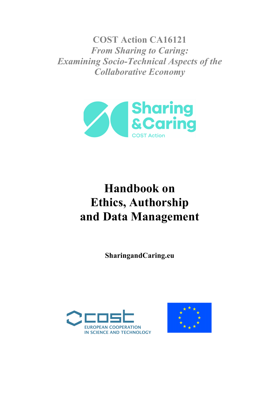**COST Action CA16121** *From Sharing to Caring: Examining Socio-Technical Aspects of the Collaborative Economy*



# **Handbook on Ethics, Authorship and Data Management**

**SharingandCaring.eu**



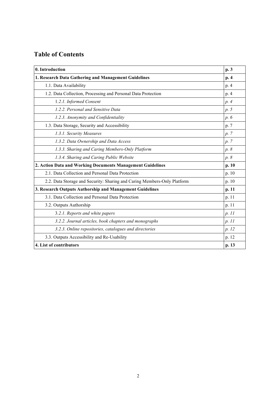## **Table of Contents**

| 0. Introduction                                                          |       |
|--------------------------------------------------------------------------|-------|
| 1. Research Data Gathering and Management Guidelines                     | p. 4  |
| 1.1. Data Availability                                                   | p. 4  |
| 1.2. Data Collection, Processing and Personal Data Protection            |       |
| 1.2.1. Informed Consent                                                  | p. 4  |
| 1.2.2. Personal and Sensitive Data                                       | p. 5  |
| 1.2.3. Anonymity and Confidentiality                                     | p. 6  |
| 1.3. Data Storage, Security and Accessibility                            | p. 7  |
| 1.3.1. Security Measures                                                 | p. 7  |
| 1.3.2. Data Ownership and Data Access                                    | p. 7  |
| 1.3.3. Sharing and Caring Members-Only Platform                          | p. 8  |
| 1.3.4. Sharing and Caring Public Website                                 | p. 8  |
| 2. Action Data and Working Documents Management Guidelines               | p. 10 |
| 2.1. Data Collection and Personal Data Protection                        | p.10  |
| 2.2. Data Storage and Security: Sharing and Caring Members-Only Platform | p. 10 |
| 3. Research Outputs Authorship and Management Guidelines                 |       |
| 3.1. Data Collection and Personal Data Protection                        | p. 11 |
| 3.2. Outputs Authorship                                                  |       |
| 3.2.1. Reports and white papers                                          |       |
| 3.2.2. Journal articles, book chapters and monographs                    |       |
| 3.2.3. Online repositories, catalogues and directories                   | p. 12 |
| 3.3. Outputs Accessibility and Re-Usability                              | p. 12 |
| 4. List of contributors                                                  | p. 13 |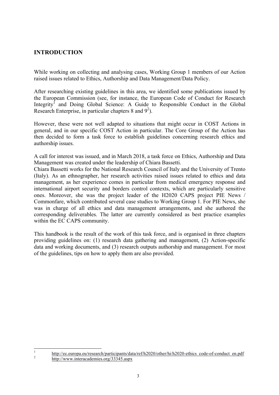## **INTRODUCTION**

While working on collecting and analysing cases, Working Group 1 members of our Action raised issues related to Ethics, Authorship and Data Management/Data Policy.

After researching existing guidelines in this area, we identified some publications issued by the European Commission (see, for instance, the European Code of Conduct for Research Integrity<sup>1</sup> and Doing Global Science: A Guide to Responsible Conduct in the Global Research Enterprise, in particular chapters 8 and  $9^2$ ).

However, these were not well adapted to situations that might occur in COST Actions in general, and in our specific COST Action in particular. The Core Group of the Action has then decided to form a task force to establish guidelines concerning research ethics and authorship issues.

A call for interest was issued, and in March 2018, a task force on Ethics, Authorship and Data Management was created under the leadership of Chiara Bassetti.

Chiara Bassetti works for the National Research Council of Italy and the University of Trento (Italy). As an ethnographer, her research activities raised issues related to ethics and data management, as her experience comes in particular from medical emergency response and international airport security and borders control contexts, which are particularly sensitive ones. Moreover, she was the project leader of the H2020 CAPS project PIE News / Commonfare, which contributed several case studies to Working Group 1. For PIE News, she was in charge of all ethics and data management arrangements, and she authored the corresponding deliverables. The latter are currently considered as best practice examples within the EC CAPS community.

This handbook is the result of the work of this task force, and is organised in three chapters providing guidelines on: (1) research data gathering and management, (2) Action-specific data and working documents, and (3) research outputs authorship and management. For most of the guidelines, tips on how to apply them are also provided.

<sup>&</sup>lt;sup>1</sup> http://ec.europa.eu/research/participants/data/ref/h2020/other/hi/h2020-ethics\_code-of-conduct\_en.pdf http://www.interacademies.org/33345.aspx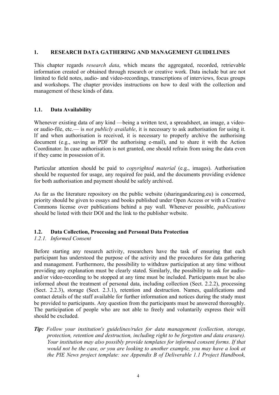#### **1. RESEARCH DATA GATHERING AND MANAGEMENT GUIDELINES**

This chapter regards *research data*, which means the aggregated, recorded, retrievable information created or obtained through research or creative work. Data include but are not limited to field notes, audio- and video-recordings, transcriptions of interviews, focus groups and workshops. The chapter provides instructions on how to deal with the collection and management of these kinds of data.

## **1.1. Data Availability**

Whenever existing data of any kind —being a written text, a spreadsheet, an image, a videoor audio-file, etc.— is *not publicly available*, it is necessary to ask authorisation for using it. If and when authorisation is received, it is necessary to properly archive the authorising document (e.g., saving as PDF the authorising e-mail), and to share it with the Action Coordinator. In case authorisation is not granted, one should refrain from using the data even if they came in possession of it.

Particular attention should be paid to *copyrighted material* (e.g., images). Authorisation should be requested for usage, any required fee paid, and the documents providing evidence for both authorisation and payment should be safely archived.

As far as the literature repository on the public website (sharingandcaring.eu) is concerned, priority should be given to essays and books published under Open Access or with a Creative Commons license over publications behind a pay wall. Whenever possible, *publications* should be listed with their DOI and the link to the publisher website.

## **1.2. Data Collection, Processing and Personal Data Protection**

## *1.2.1. Informed Consent*

Before starting any research activity, researchers have the task of ensuring that each participant has understood the purpose of the activity and the procedures for data gathering and management. Furthermore, the possibility to withdraw participation at any time without providing any explanation must be clearly stated. Similarly, the possibility to ask for audioand/or video-recording to be stopped at any time must be included. Participants must be also informed about the treatment of personal data, including collection (Sect. 2.2.2), processing (Sect. 2.2.3), storage (Sect. 2.3.1), retention and destruction. Names, qualifications and contact details of the staff available for further information and notices during the study must be provided to participants. Any question from the participants must be answered thoroughly. The participation of people who are not able to freely and voluntarily express their will should be excluded.

*Tip: Follow your institution's guidelines/rules for data management (collection, storage, protection, retention and destruction, including right to be forgotten and data erasure). Your institution may also possibly provide templates for informed consent forms. If that would not be the case, or you are looking to another example, you may have a look at the PIE News project template: see Appendix B of Deliverable 1.1 Project Handbook,*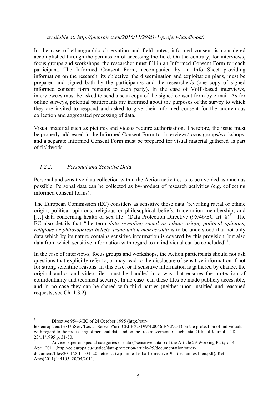#### *available at: http://pieproject.eu/2016/11/29/d1-1-project-handbook/.*

In the case of ethnographic observation and field notes, informed consent is considered accomplished through the permission of accessing the field. On the contrary, for interviews, focus groups and workshops, the researcher must fill in an Informed Consent Form for each participant. The Informed Consent Form, accompanied by an Info Sheet providing information on the research, its objective, the dissemination and exploitation plans, must be prepared and signed both by the participant/s and the researcher/s (one copy of signed informed consent form remains to each party). In the case of VoIP-based interviews, interviewees must be asked to send a scan copy of the signed consent form by e-mail. As for online surveys, potential participants are informed about the purposes of the survey to which they are invited to respond and asked to give their informed consent for the anonymous collection and aggregated processing of data.

Visual material such as pictures and videos require authorisation. Therefore, the issue must be properly addressed in the Informed Consent Form for interviews/focus groups/workshops, and a separate Informed Consent Form must be prepared for visual material gathered as part of fieldwork.

## *1.2.2. Personal and Sensitive Data*

Personal and sensitive data collection within the Action activities is to be avoided as much as possible. Personal data can be collected as by-product of research activities (e.g. collecting informed consent forms).

The European Commission (EC) considers as sensitive those data "revealing racial or ethnic origin, political opinions, religious or philosophical beliefs, trade-union membership, and [...] data concerning health or sex life" (Data Protection Directive  $(95/46/EC \text{ art. } 8)^3$ . The EC also details that "the term *data revealing racial or ethnic origin, political opinions, religious or philosophical beliefs, trade-union membership* is to be understood that not only data which by its nature contains sensitive information is covered by this provision, but also data from which sensitive information with regard to an individual can be concluded"<sup>4</sup>.

In the case of interviews, focus groups and workshops, the Action participants should not ask questions that explicitly refer to, or may lead to the disclosure of sensitive information if not for strong scientific reasons. In this case, or if sensitive information is gathered by chance, the original audio- and video files must be handled in a way that ensures the protection of confidentiality and technical security. In no case can these files be made publicly accessible, and in no case they can be shared with third parties (neither upon justified and reasoned requests, see Ch. 1.3.2).

<sup>&</sup>lt;sup>3</sup> Directive 95/46/EC of 24 October 1995 (http://eur-

lex.europa.eu/LexUriServ/LexUriServ.do?uri=CELEX:31995L0046:EN:NOT) on the protection of individuals with regard to the processing of personal data and on the free movement of such data, Official Journal L 281, 23/11/1995 p. 31-50.<br> $4 \text{ A}$  Advice paper on special categories of data ("sensitive data") of the Article 29 Working Party of 4

April 2011 (http://ec.europa.eu/justice/data-protection/article-29/documentation/other-

document/files/2011/2011\_04\_20\_letter\_artwp\_mme\_le\_bail\_directive\_9546ec\_annex1\_en.pdf), Ref. Ares(2011)444105, 20/04/2011.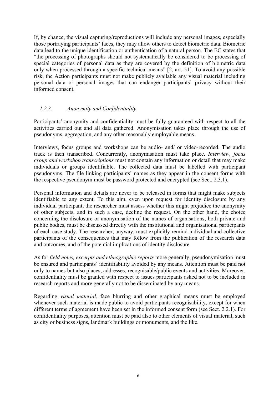If, by chance, the visual capturing/reproductions will include any personal images, especially those portraying participants' faces, they may allow others to detect biometric data. Biometric data lead to the unique identification or authentication of a natural person. The EC states that "the processing of photographs should not systematically be considered to be processing of special categories of personal data as they are covered by the definition of biometric data only when processed through a specific technical means" [2, art. 51]. To avoid any possible risk, the Action participants must not make publicly available any visual material including personal data or personal images that can endanger participants' privacy without their informed consent.

## *1.2.3. Anonymity and Confidentiality*

Participants' anonymity and confidentiality must be fully guaranteed with respect to all the activities carried out and all data gathered. Anonymisation takes place through the use of pseudonyms, aggregation, and any other reasonably employable means.

Interviews, focus groups and workshops can be audio- and/ or video-recorded. The audio track is then transcribed. Concurrently, anonymisation must take place. *Interview, focus group and workshop transcriptions* must not contain any information or detail that may make individuals or groups identifiable. The collected data must be labelled with participant pseudonyms. The file linking participants' names as they appear in the consent forms with the respective pseudonym must be password protected and encrypted (see Sect. 2.3.1).

Personal information and details are never to be released in forms that might make subjects identifiable to any extent. To this aim, even upon request for identity disclosure by any individual participant, the researcher must assess whether this might prejudice the anonymity of other subjects, and in such a case, decline the request. On the other hand, the choice concerning the disclosure or anonymisation of the names of organisations, both private and public bodies, must be discussed directly with the institutional and organisational participants of each case study. The researcher, anyway, must explicitly remind individual and collective participants of the consequences that may follow from the publication of the research data and outcomes, and of the potential implications of identity disclosure.

As for *field notes, excerpts and ethnographic reports* more generally, pseudonymisation must be ensured and participants' identifiability avoided by any means. Attention must be paid not only to names but also places, addresses, recognisable/public events and activities. Moreover, confidentiality must be granted with respect to issues participants asked not to be included in research reports and more generally not to be disseminated by any means.

Regarding *visual material*, face blurring and other graphical means must be employed whenever such material is made public to avoid participants recognisability, except for when different terms of agreement have been set in the informed consent form (see Sect. 2.2.1). For confidentiality purposes, attention must be paid also to other elements of visual material, such as city or business signs, landmark buildings or monuments, and the like.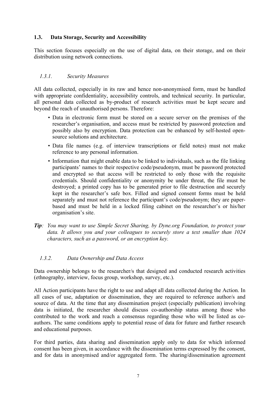## **1.3. Data Storage, Security and Accessibility**

This section focuses especially on the use of digital data, on their storage, and on their distribution using network connections.

## *1.3.1. Security Measures*

All data collected, especially in its raw and hence non-anonymised form, must be handled with appropriate confidentiality, accessibility controls, and technical security. In particular, all personal data collected as by-product of research activities must be kept secure and beyond the reach of unauthorised persons. Therefore:

- Data in electronic form must be stored on a secure server on the premises of the researcher's organisation, and access must be restricted by password protection and possibly also by encryption. Data protection can be enhanced by self-hosted opensource solutions and architecture.
- Data file names (e.g. of interview transcriptions or field notes) must not make reference to any personal information.
- Information that might enable data to be linked to individuals, such as the file linking participants' names to their respective code/pseudonym, must be password protected and encrypted so that access will be restricted to only those with the requisite credentials. Should confidentiality or anonymity be under threat, the file must be destroyed; a printed copy has to be generated prior to file destruction and securely kept in the researcher's safe box. Filled and signed consent forms must be held separately and must not reference the participant's code/pseudonym; they are paperbased and must be held in a locked filing cabinet on the researcher's or his/her organisation's site.
- *Tip: You may want to use Simple Secret Sharing, by Dyne.org Foundation, to protect your data. It allows you and your colleagues to securely store a text smaller than 1024 characters, such as a password, or an encryption key.*

## *1.3.2. Data Ownership and Data Access*

Data ownership belongs to the researcher/s that designed and conducted research activities (ethnography, interview, focus group, workshop, survey, etc.).

All Action participants have the right to use and adapt all data collected during the Action. In all cases of use, adaptation or dissemination, they are required to reference author/s and source of data. At the time that any dissemination project (especially publication) involving data is initiated, the researcher should discuss co-authorship status among those who contributed to the work and reach a consensus regarding those who will be listed as coauthors. The same conditions apply to potential reuse of data for future and further research and educational purposes.

For third parties, data sharing and dissemination apply only to data for which informed consent has been given, in accordance with the dissemination terms expressed by the consent, and for data in anonymised and/or aggregated form. The sharing/dissemination agreement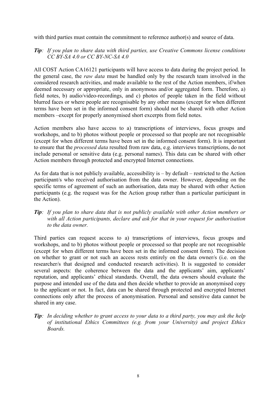with third parties must contain the commitment to reference author(s) and source of data.

## *Tip: If you plan to share data with third parties, use Creative Commons license conditions CC BY-SA 4.0 or CC BY-NC-SA 4.0*

All COST Action CA16121 participants will have access to data during the project period. In the general case, the *raw data* must be handled only by the research team involved in the considered research activities, and made available to the rest of the Action members, if/when deemed necessary or appropriate, only in anonymous and/or aggregated form. Therefore, a) field notes, b) audio/video-recordings, and c) photos of people taken in the field without blurred faces or where people are recognisable by any other means (except for when different terms have been set in the informed consent form) should not be shared with other Action members –except for properly anonymised short excerpts from field notes.

Action members also have access to a) transcriptions of interviews, focus groups and workshops, and to b) photos without people or processed so that people are not recognisable (except for when different terms have been set in the informed consent form). It is important to ensure that the *processed data* resulted from raw data, e.g. interviews transcriptions, do not include personal or sensitive data (e.g. personal names). This data can be shared with other Action members through protected and encrypted Internet connections.

As for data that is not publicly available, accessibility is – by default – restricted to the Action participant/s who received authorisation from the data owner. However, depending on the specific terms of agreement of such an authorisation, data may be shared with other Action participants (e.g. the request was for the Action group rather than a particular participant in the Action).

*Tip: If you plan to share data that is not publicly available with other Action members or with all Action participants, declare and ask for that in your request for authorisation to the data owner.*

Third parties can request access to a) transcriptions of interviews, focus groups and workshops, and to b) photos without people or processed so that people are not recognisable (except for when different terms have been set in the informed consent form). The decision on whether to grant or not such an access rests entirely on the data owner/s (i.e. on the researcher/s that designed and conducted research activities). It is suggested to consider several aspects: the coherence between the data and the applicants' aim, applicants' reputation, and applicants' ethical standards. Overall, the data owners should evaluate the purpose and intended use of the data and then decide whether to provide an anonymised copy to the applicant or not. In fact, data can be shared through protected and encrypted Internet connections only after the process of anonymisation. Personal and sensitive data cannot be shared in any case.

*Tip: In deciding whether to grant access to your data to a third party, you may ask the help of institutional Ethics Committees (e.g. from your University) and project Ethics Boards.*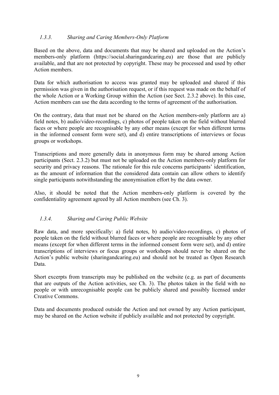## *1.3.3. Sharing and Caring Members-Only Platform*

Based on the above, data and documents that may be shared and uploaded on the Action's members-only platform (https://social.sharingandcaring.eu) are those that are publicly available, and that are not protected by copyright. These may be processed and used by other Action members.

Data for which authorisation to access was granted may be uploaded and shared if this permission was given in the authorisation request, or if this request was made on the behalf of the whole Action or a Working Group within the Action (see Sect. 2.3.2 above). In this case, Action members can use the data according to the terms of agreement of the authorisation.

On the contrary, data that must not be shared on the Action members-only platform are a) field notes, b) audio/video-recordings, c) photos of people taken on the field without blurred faces or where people are recognisable by any other means (except for when different terms in the informed consent form were set), and d) entire transcriptions of interviews or focus groups or workshops.

Transcriptions and more generally data in anonymous form may be shared among Action participants (Sect. 2.3.2) but must not be uploaded on the Action members-only platform for security and privacy reasons. The rationale for this rule concerns participants' identification, as the amount of information that the considered data contain can allow others to identify single participants notwithstanding the anonymisation effort by the data owner.

Also, it should be noted that the Action members-only platform is covered by the confidentiality agreement agreed by all Action members (see Ch. 3).

## *1.3.4. Sharing and Caring Public Website*

Raw data, and more specifically: a) field notes, b) audio/video-recordings, c) photos of people taken on the field without blurred faces or where people are recognisable by any other means (except for when different terms in the informed consent form were set), and d) entire transcriptions of interviews or focus groups or workshops should never be shared on the Action's public website (sharingandcaring.eu) and should not be treated as Open Research Data.

Short excerpts from transcripts may be published on the website (e.g. as part of documents that are outputs of the Action activities, see Ch. 3). The photos taken in the field with no people or with unrecognisable people can be publicly shared and possibly licensed under Creative Commons.

Data and documents produced outside the Action and not owned by any Action participant, may be shared on the Action website if publicly available and not protected by copyright.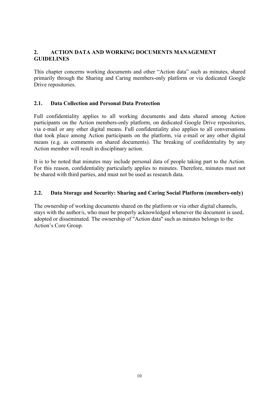## **2. ACTION DATA AND WORKING DOCUMENTS MANAGEMENT GUIDELINES**

This chapter concerns working documents and other "Action data" such as minutes, shared primarily through the Sharing and Caring members-only platform or via dedicated Google Drive repositories.

## **2.1. Data Collection and Personal Data Protection**

Full confidentiality applies to all working documents and data shared among Action participants on the Action members-only platform, on dedicated Google Drive repositories, via e-mail or any other digital means. Full confidentiality also applies to all conversations that took place among Action participants on the platform, via e-mail or any other digital means (e.g. as comments on shared documents). The breaking of confidentiality by any Action member will result in disciplinary action.

It is to be noted that minutes may include personal data of people taking part to the Action. For this reason, confidentiality particularly applies to minutes. Therefore, minutes must not be shared with third parties, and must not be used as research data.

#### **2.2. Data Storage and Security: Sharing and Caring Social Platform (members-only)**

The ownership of working documents shared on the platform or via other digital channels, stays with the author/s, who must be properly acknowledged whenever the document is used, adopted or disseminated. The ownership of "Action data" such as minutes belongs to the Action's Core Group.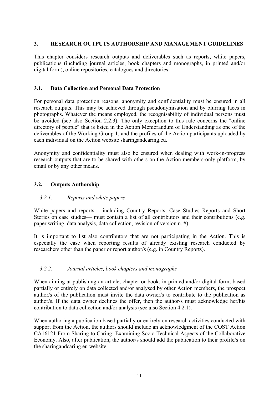## **3. RESEARCH OUTPUTS AUTHORSHIP AND MANAGEMENT GUIDELINES**

This chapter considers research outputs and deliverables such as reports, white papers, publications (including journal articles, book chapters and monographs, in printed and/or digital form), online repositories, catalogues and directories.

#### **3.1. Data Collection and Personal Data Protection**

For personal data protection reasons, anonymity and confidentiality must be ensured in all research outputs. This may be achieved through pseudonymisation and by blurring faces in photographs. Whatever the means employed, the recognisability of individual persons must be avoided (see also Section 2.2.3). The only exception to this rule concerns the "online directory of people" that is listed in the Action Memorandum of Understanding as one of the deliverables of the Working Group 1, and the profiles of the Action participants uploaded by each individual on the Action website sharingandcaring.eu.

Anonymity and confidentiality must also be ensured when dealing with work-in-progress research outputs that are to be shared with others on the Action members-only platform, by email or by any other means.

## **3.2. Outputs Authorship**

## *3.2.1. Reports and white papers*

White papers and reports —including Country Reports, Case Studies Reports and Short Stories on case studies— must contain a list of all contributors and their contributions (e.g. paper writing, data analysis, data collection, revision of version n. #).

It is important to list also contributors that are not participating in the Action. This is especially the case when reporting results of already existing research conducted by researchers other than the paper or report author/s (e.g. in Country Reports).

## *3.2.2. Journal articles, book chapters and monographs*

When aiming at publishing an article, chapter or book, in printed and/or digital form, based partially or entirely on data collected and/or analysed by other Action members, the prospect author/s of the publication must invite the data owner/s to contribute to the publication as author/s. If the data owner declines the offer, then the author/s must acknowledge her/his contribution to data collection and/or analysis (see also Section 4.2.1).

When authoring a publication based partially or entirely on research activities conducted with support from the Action, the authors should include an acknowledgment of the COST Action CA16121 From Sharing to Caring: Examining Socio-Technical Aspects of the Collaborative Economy. Also, after publication, the author/s should add the publication to their profile/s on the sharingandcaring.eu website.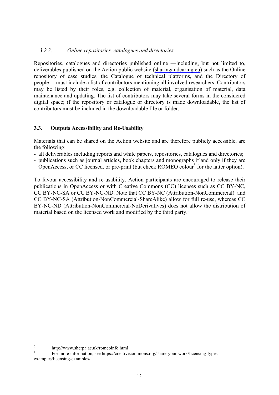## *3.2.3. Online repositories, catalogues and directories*

Repositories, catalogues and directories published online —including, but not limited to, deliverables published on the Action public website (sharingandcaring.eu) such as the Online repository of case studies, the Catalogue of technical platforms, and the Directory of people— must include a list of contributors mentioning all involved researchers. Contributors may be listed by their roles, e.g. collection of material, organisation of material, data maintenance and updating. The list of contributors may take several forms in the considered digital space; if the repository or catalogue or directory is made downloadable, the list of contributors must be included in the downloadable file or folder.

#### **3.3. Outputs Accessibility and Re-Usability**

Materials that can be shared on the Action website and are therefore publicly accessible, are the following:

- all deliverables including reports and white papers, repositories, catalogues and directories;
- publications such as journal articles, book chapters and monographs if and only if they are OpenAccess, or CC licensed, or pre-print (but check ROMEO colour<sup>5</sup> for the latter option).

To favour accessibility and re-usability, Action participants are encouraged to release their publications in OpenAccess or with Creative Commons (CC) licenses such as CC BY-NC, CC BY-NC-SA or CC BY-NC-ND. Note that CC BY-NC (Attribution-NonCommercial) and CC BY-NC-SA (Attribution-NonCommercial-ShareAlike) allow for full re-use, whereas CC BY-NC-ND (Attribution-NonCommercial-NoDerivatives) does not allow the distribution of material based on the licensed work and modified by the third party.<sup>6</sup>

<sup>&</sup>lt;sup>5</sup> http://www.sherpa.ac.uk/romeoinfo.html<br><sup>6</sup> For more information, see https://creativecommons.org/share-your-work/licensing-typesexamples/licensing-examples/.